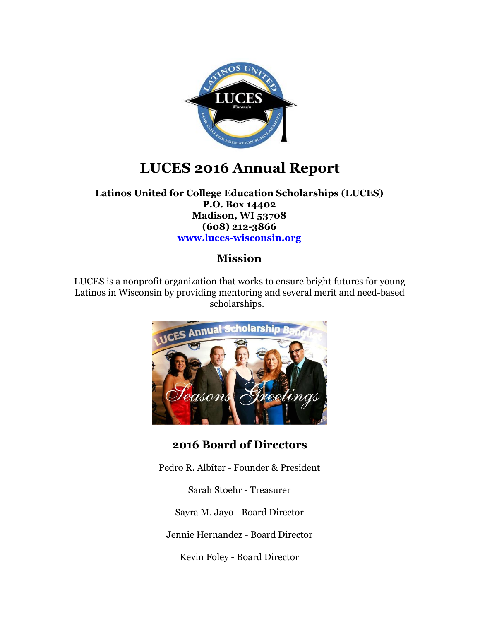

## **LUCES 2016 Annual Report**

**Latinos United for College Education Scholarships (LUCES) P.O. Box 14402 Madison, WI 53708 (608) 212-3866 [www.luces-wisconsin.org](http://www.luces-wisconsin.org/)**

### **Mission**

LUCES is a nonprofit organization that works to ensure bright futures for young Latinos in Wisconsin by providing mentoring and several merit and need-based scholarships.



**2016 Board of Directors**

Pedro R. Albíter - Founder & President

Sarah Stoehr - Treasurer

Sayra M. Jayo - Board Director

Jennie Hernandez - Board Director

Kevin Foley - Board Director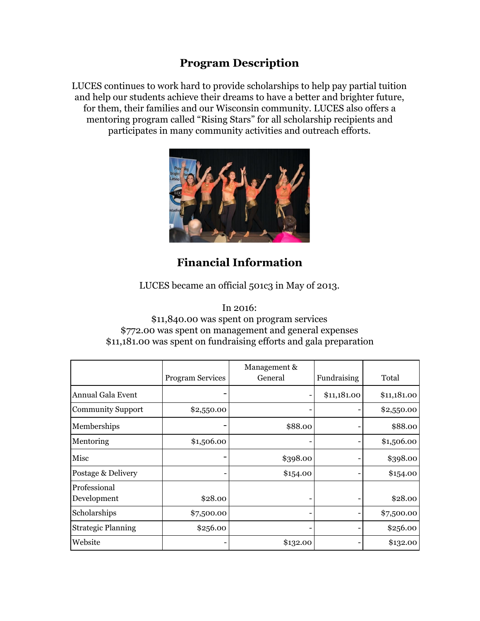## **Program Description**

LUCES continues to work hard to provide scholarships to help pay partial tuition and help our students achieve their dreams to have a better and brighter future, for them, their families and our Wisconsin community. LUCES also offers a mentoring program called "Rising Stars" for all scholarship recipients and participates in many community activities and outreach efforts.



## **Financial Information**

LUCES became an official 501c3 in May of 2013.

In 2016:

#### \$11,840.00 was spent on program services \$772.00 was spent on management and general expenses \$11,181.00 was spent on fundraising efforts and gala preparation

|                             | <b>Program Services</b> | Management &<br>General | Fundraising | Total       |
|-----------------------------|-------------------------|-------------------------|-------------|-------------|
| Annual Gala Event           |                         |                         | \$11,181.00 | \$11,181.00 |
| <b>Community Support</b>    | \$2,550.00              |                         |             | \$2,550.00  |
| Memberships                 |                         | \$88.00                 |             | \$88.00     |
| Mentoring                   | \$1,506.00              |                         |             | \$1,506.00  |
| Misc                        |                         | \$398.00                |             | \$398.00    |
| Postage & Delivery          |                         | \$154.00                |             | \$154.00    |
| Professional<br>Development | \$28.00                 |                         |             | \$28.00     |
| Scholarships                | \$7,500.00              |                         |             | \$7,500.00  |
| <b>Strategic Planning</b>   | \$256.00                |                         |             | \$256.00    |
| Website                     |                         | \$132.00                |             | \$132.00    |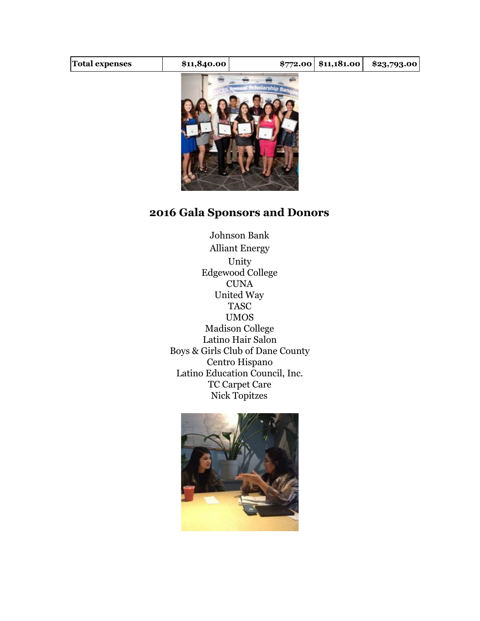| <b>Total expenses</b> | \$11,840.00 | $$772.00 \; $11,181.00$ | \$23,793.00 |
|-----------------------|-------------|-------------------------|-------------|
|                       |             |                         |             |



## **2016 Gala Sponsors and Donors**

Johnson Bank Alliant Energy Unity Edgewood College **CUNA** United Way TASC UMOS Madison College Latino Hair Salon Boys & Girls Club of Dane County Centro Hispano Latino Education Council, Inc. TC Carpet Care Nick Topitzes

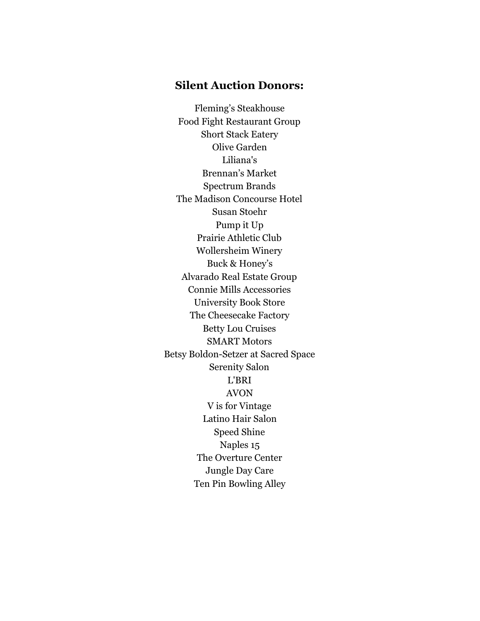#### **Silent Auction Donors:**

Fleming's Steakhouse Food Fight Restaurant Group Short Stack Eatery Olive Garden Liliana's Brennan's Market Spectrum Brands The Madison Concourse Hotel Susan Stoehr Pump it Up Prairie Athletic Club Wollersheim Winery Buck & Honey's Alvarado Real Estate Group Connie Mills Accessories University Book Store The Cheesecake Factory Betty Lou Cruises SMART Motors Betsy Boldon-Setzer at Sacred Space Serenity Salon L'BRI AVON V is for Vintage Latino Hair Salon Speed Shine Naples 15 The Overture Center Jungle Day Care Ten Pin Bowling Alley